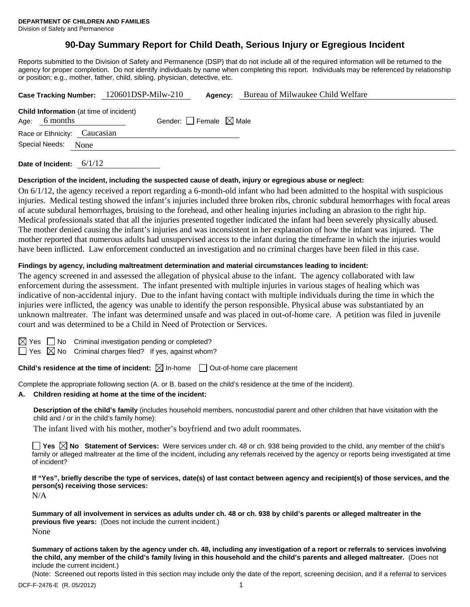# **90-Day Summary Report for Child Death, Serious Injury or Egregious Incident**

Reports submitted to the Division of Safety and Permanence (DSP) that do not include all of the required information will be returned to the agency for proper completion. Do not identify individuals by name when completing this report. Individuals may be referenced by relationship or position; e.g., mother, father, child, sibling, physician, detective, etc.

| Case Tracking Number: 120601DSP-Milw-210                                                             |  |         |  | Agency: | Bureau of Milwaukee Child Welfare |  |  |  |  |
|------------------------------------------------------------------------------------------------------|--|---------|--|---------|-----------------------------------|--|--|--|--|
| <b>Child Information</b> (at time of incident)<br>Age: $6$ months<br>Gender: Female $\boxtimes$ Male |  |         |  |         |                                   |  |  |  |  |
| Race or Ethnicity: Caucasian                                                                         |  |         |  |         |                                   |  |  |  |  |
| Special Needs:<br>None                                                                               |  |         |  |         |                                   |  |  |  |  |
|                                                                                                      |  | $-111A$ |  |         |                                   |  |  |  |  |

**Date of Incident:** 6/1/12

#### **Description of the incident, including the suspected cause of death, injury or egregious abuse or neglect:**

On 6/1/12, the agency received a report regarding a 6-month-old infant who had been admitted to the hospital with suspicious injuries. Medical testing showed the infant's injuries included three broken ribs, chronic subdural hemorrhages with focal areas of acute subdural hemorrhages, bruising to the forehead, and other healing injuries including an abrasion to the right hip. Medical professionals stated that all the injuries presented together indicated the infant had been severely physically abused. The mother denied causing the infant's injuries and was inconsistent in her explanation of how the infant was injured. The mother reported that numerous adults had unsupervised access to the infant during the timeframe in which the injuries would have been inflicted. Law enforcement conducted an investigation and no criminal charges have been filed in this case.

#### **Findings by agency, including maltreatment determination and material circumstances leading to incident:**

The agency screened in and assessed the allegation of physical abuse to the infant. The agency collaborated with law enforcement during the assessment. The infant presented with multiple injuries in various stages of healing which was indicative of non-accidental injury. Due to the infant having contact with multiple individuals during the time in which the injuries were inflicted, the agency was unable to identify the person responsible. Physical abuse was substantiated by an unknown maltreater. The infant was determined unsafe and was placed in out-of-home care. A petition was filed in juvenile court and was determined to be a Child in Need of Protection or Services.

| ×<br>۰. |
|---------|
|         |

 $\Box$  No Criminal investigation pending or completed?

 $\Box$  Yes  $\boxtimes$  No Criminal charges filed? If yes, against whom?

**Child's residence at the time of incident:**  $\boxtimes$  In-home  $\Box$  Out-of-home care placement

Complete the appropriate following section (A. or B. based on the child's residence at the time of the incident).

## **A. Children residing at home at the time of the incident:**

**Description of the child's family** (includes household members, noncustodial parent and other children that have visitation with the child and / or in the child's family home):

The infant lived with his mother, mother's boyfriend and two adult roommates.

**Yes No** Statement of Services: Were services under ch. 48 or ch. 938 being provided to the child, any member of the child's family or alleged maltreater at the time of the incident, including any referrals received by the agency or reports being investigated at time of incident?

**If "Yes", briefly describe the type of services, date(s) of last contact between agency and recipient(s) of those services, and the person(s) receiving those services:** 

N/A

**Summary of all involvement in services as adults under ch. 48 or ch. 938 by child's parents or alleged maltreater in the previous five years:** (Does not include the current incident.) None

**Summary of actions taken by the agency under ch. 48, including any investigation of a report or referrals to services involving the child, any member of the child's family living in this household and the child's parents and alleged maltreater.** (Does not include the current incident.)

(Note: Screened out reports listed in this section may include only the date of the report, screening decision, and if a referral to services